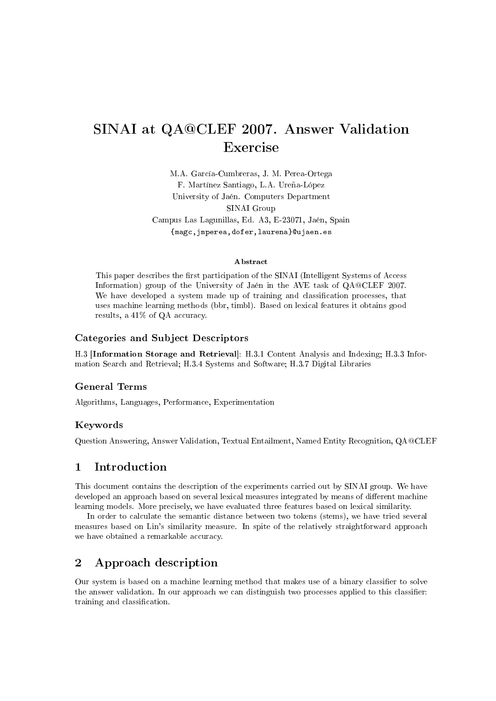# SINAI at QA@CLEF 2007. Answer Validation Exercise

M.A. García-Cumbreras, J. M. Perea-Ortega F. Martínez Santiago, L.A. Ureña-López University of Jaén. Computers Department SINAI Group Campus Las Lagunillas, Ed. A3, E-23071, Jaén, Spain

{magc,jmperea,dofer,laurena}@ujaen.es

#### Abstract

This paper describes the first participation of the SINAI (Intelligent Systems of Access Information) group of the University of Jaén in the AVE task of QA@CLEF 2007. We have developed a system made up of training and classification processes, that uses machine learning methods (bbr, timbl). Based on lexical features it obtains good results, a 41% of QA accuracy.

#### Categories and Subject Descriptors

H.3 [Information Storage and Retrieval]: H.3.1 Content Analysis and Indexing; H.3.3 Information Search and Retrieval; H.3.4 Systems and Software; H.3.7 Digital Libraries

### General Terms

Algorithms, Languages, Performance, Experimentation

#### Keywords

Question Answering, Answer Validation, Textual Entailment, Named Entity Recognition, QA@CLEF

### 1 Introduction

This document contains the description of the experiments carried out by SINAI group. We have developed an approach based on several lexical measures integrated by means of different machine learning models. More precisely, we have evaluated three features based on lexical similarity.

In order to calculate the semantic distance between two tokens (stems), we have tried several measures based on Lin's similarity measure. In spite of the relatively straightforward approach we have obtained a remarkable accuracy.

## 2 Approach description

Our system is based on a machine learning method that makes use of a binary classier to solve the answer validation. In our approach we can distinguish two processes applied to this classier: training and classification.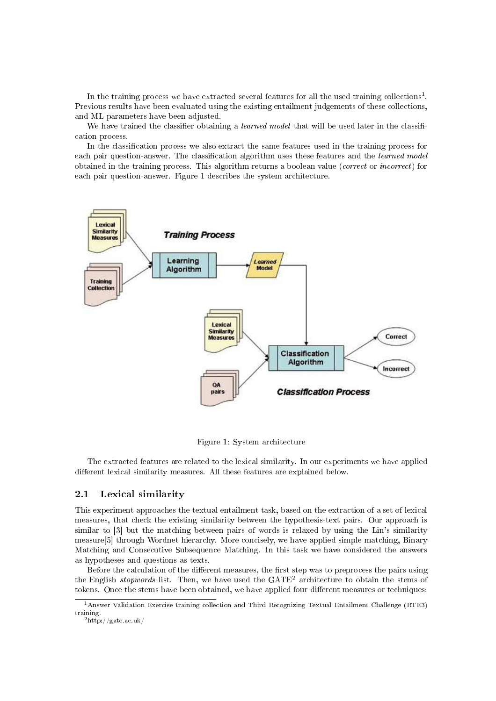In the training process we have extracted several features for all the used training collections<sup>1</sup>. Previous results have been evaluated using the existing entailment judgements of these collections, and ML parameters have been adjusted.

We have trained the classifier obtaining a *learned model* that will be used later in the classification process.

In the classification process we also extract the same features used in the training process for each pair question-answer. The classification algorithm uses these features and the *learned model* obtained in the training process. This algorithm returns a boolean value (correct or incorrect) for each pair question-answer. Figure 1 describes the system architecture.



Figure 1: System architecture

The extracted features are related to the lexical similarity. In our experiments we have applied different lexical similarity measures. All these features are explained below.

#### 2.1 Lexical similarity

This experiment approaches the textual entailment task, based on the extraction of a set of lexical measures, that check the existing similarity between the hypothesis-text pairs. Our approach is similar to [3] but the matching between pairs of words is relaxed by using the Lin's similarity measure[5] through Wordnet hierarchy. More concisely, we have applied simple matching, Binary Matching and Consecutive Subsequence Matching. In this task we have considered the answers as hypotheses and questions as texts.

Before the calculation of the different measures, the first step was to preprocess the pairs using the English *stopwords* list. Then, we have used the  $GATE<sup>2</sup>$  architecture to obtain the stems of tokens. Once the stems have been obtained, we have applied four different measures or techniques:

<sup>&</sup>lt;sup>1</sup> Answer Validation Exercise training collection and Third Recognizing Textual Entailment Challenge (RTE3) training.

 $^{2}$ http://gate.ac.uk/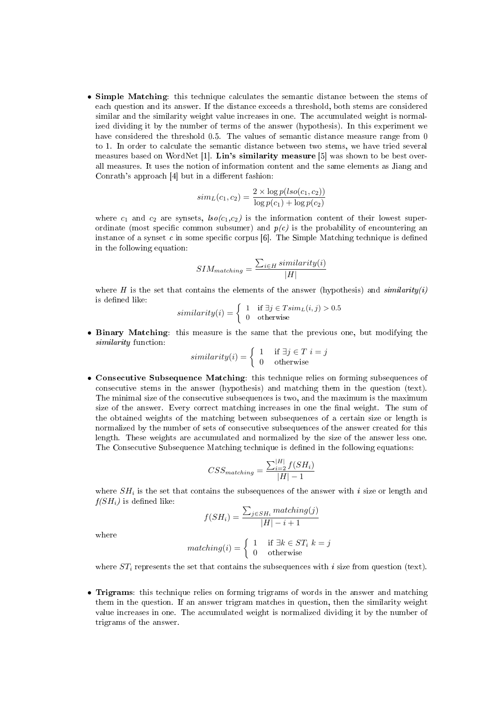• Simple Matching: this technique calculates the semantic distance between the stems of each question and its answer. If the distance exceeds a threshold, both stems are considered similar and the similarity weight value increases in one. The accumulated weight is normalized dividing it by the number of terms of the answer (hypothesis). In this experiment we have considered the threshold 0.5. The values of semantic distance measure range from 0 to 1. In order to calculate the semantic distance between two stems, we have tried several measures based on WordNet [1]. Lin's similarity measure [5] was shown to be best overall measures. It uses the notion of information content and the same elements as Jiang and Conrath's approach  $[4]$  but in a different fashion:

$$
sim_L(c_1, c_2) = \frac{2 \times \log p(iso(c_1, c_2))}{\log p(c_1) + \log p(c_2)}
$$

where  $c_1$  and  $c_2$  are synsets,  $lso(c_1,c_2)$  is the information content of their lowest superordinate (most specific common subsumer) and  $p(c)$  is the probability of encountering an instance of a synset c in some specific corpus  $[6]$ . The Simple Matching technique is defined in the following equation:

$$
SIM_{matching} = \frac{\sum_{i \in H} similarity(i)}{|H|}
$$

where H is the set that contains the elements of the answer (hypothesis) and  $\textit{similarity}(i)$ is defined like:

$$
similarity(i) = \begin{cases} 1 & \text{if } \exists j \in T \, \text{sim}_L(i, j) > 0.5\\ 0 & \text{otherwise} \end{cases}
$$

• Binary Matching: this measure is the same that the previous one, but modifying the similarity function:

$$
similarity(i) = \begin{cases} 1 & \text{if } \exists j \in T \ i = j \\ 0 & \text{otherwise} \end{cases}
$$

• Consecutive Subsequence Matching: this technique relies on forming subsequences of consecutive stems in the answer (hypothesis) and matching them in the question (text). The minimal size of the consecutive subsequences is two, and the maximum is the maximum size of the answer. Every correct matching increases in one the final weight. The sum of the obtained weights of the matching between subsequences of a certain size or length is normalized by the number of sets of consecutive subsequences of the answer created for this length. These weights are accumulated and normalized by the size of the answer less one. The Consecutive Subsequence Matching technique is defined in the following equations:

$$
CSS_{matching} = \frac{\sum_{i=2}^{|H|} f(SH_i)}{|H| - 1}
$$

where  $SH_i$  is the set that contains the subsequences of the answer with i size or length and  $f(SH_i)$  is defined like:  $\overline{ }$ 

$$
f(SH_i) = \frac{\sum_{j \in SH_i} matching(j)}{|H| - i + 1}
$$

where

$$
matching(i) = \begin{cases} 1 & \text{if } \exists k \in ST_i \ k = j \\ 0 & \text{otherwise} \end{cases}
$$

where  $ST_i$  represents the set that contains the subsequences with i size from question (text).

• Trigrams: this technique relies on forming trigrams of words in the answer and matching them in the question. If an answer trigram matches in question, then the similarity weight value increases in one. The accumulated weight is normalized dividing it by the number of trigrams of the answer.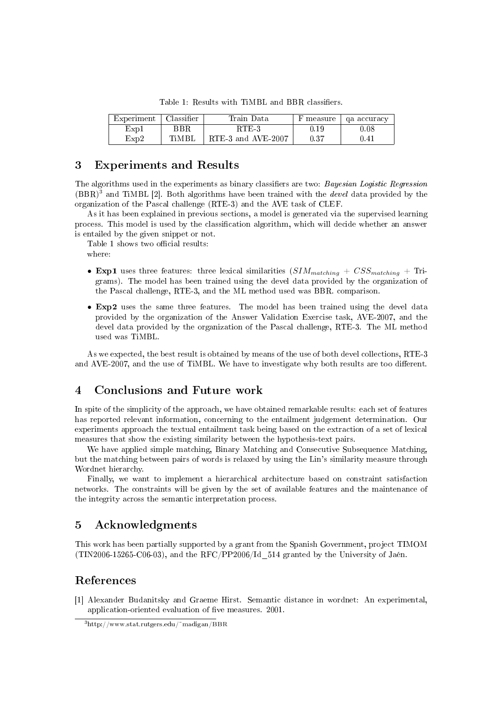| Experiment | Classifier - | Train Data         | F measure | ga accuracy |
|------------|--------------|--------------------|-----------|-------------|
| Exp1       | BBR.         | RTE-3              | D. 19     | 0.08        |
| Exp2       | TiMRI        | RTE-3 and AVE-2007 | 0.37      | 0.41        |

Table 1: Results with TiMBL and BBR classifiers.

### 3 Experiments and Results

The algorithms used in the experiments as binary classifiers are two: Bayesian Logistic Regression  $(BBR)^3$  and TiMBL [2]. Both algorithms have been trained with the *devel* data provided by the organization of the Pascal challenge (RTE-3) and the AVE task of CLEF.

As it has been explained in previous sections, a model is generated via the supervised learning process. This model is used by the classication algorithm, which will decide whether an answer is entailed by the given snippet or not.

Table 1 shows two official results:

where:

- Exp1 uses three features: three lexical similarities  $(SIM<sub>matching</sub> + CSS<sub>matching</sub> + Tri$ grams). The model has been trained using the devel data provided by the organization of the Pascal challenge, RTE-3, and the ML method used was BBR. comparison.
- Exp2 uses the same three features. The model has been trained using the devel data provided by the organization of the Answer Validation Exercise task, AVE-2007, and the devel data provided by the organization of the Pascal challenge, RTE-3. The ML method used was TiMBL.

As we expected, the best result is obtained by means of the use of both devel collections, RTE-3 and AVE-2007, and the use of TiMBL. We have to investigate why both results are too different.

### 4 Conclusions and Future work

In spite of the simplicity of the approach, we have obtained remarkable results: each set of features has reported relevant information, concerning to the entailment judgement determination. Our experiments approach the textual entailment task being based on the extraction of a set of lexical measures that show the existing similarity between the hypothesis-text pairs.

We have applied simple matching, Binary Matching and Consecutive Subsequence Matching, but the matching between pairs of words is relaxed by using the Lin's similarity measure through Wordnet hierarchy.

Finally, we want to implement a hierarchical architecture based on constraint satisfaction networks. The constraints will be given by the set of available features and the maintenance of the integrity across the semantic interpretation process.

# 5 Acknowledgments

This work has been partially supported by a grant from the Spanish Government, project TIMOM (TIN2006-15265-C06-03), and the RFC/PP2006/Id\_514 granted by the University of Jaén.

### References

[1] Alexander Budanitsky and Graeme Hirst. Semantic distance in wordnet: An experimental, application-oriented evaluation of five measures. 2001.

 $3$ http://www.stat.rutgers.edu/~madigan/BBR